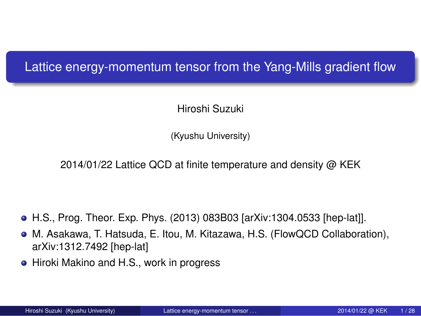. Lattice energy-momentum tensor from the Yang-Mills gradient flow

Hiroshi Suzuki

(Kyushu University)

2014/01/22 Lattice QCD at finite temperature and density @ KEK

- H.S., Prog. Theor. Exp. Phys. (2013) 083B03 [arXiv:1304.0533 [hep-lat]].
- M. Asakawa, T. Hatsuda, E. Itou, M. Kitazawa, H.S. (FlowQCD Collaboration), arXiv:1312.7492 [hep-lat]
- Hiroki Makino and H.S., work in progress

. . .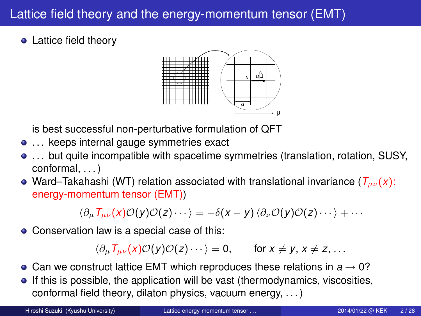#### Lattice field theory and the energy-momentum tensor (EMT)

• Lattice field theory



is best successful non-perturbative formulation of QFT

- . . . keeps internal gauge symmetries exact
- . . . but quite incompatible with spacetime symmetries (translation, rotation, SUSY, conformal, . . . )
- Ward–Takahashi (WT) relation associated with translational invariance (*Tµν*(*x*): energy-momentum tensor (EMT))

 $\langle \partial_{\mu} T_{\mu\nu}(x) \mathcal{O}(y) \mathcal{O}(z) \cdots \rangle = -\delta(x-y) \langle \partial_{\nu} \mathcal{O}(y) \mathcal{O}(z) \cdots \rangle + \cdots$ 

Conservation law is a special case of this:

 $\langle \partial_{\mu} T_{\mu\nu}(x) \mathcal{O}(y) \mathcal{O}(z) \cdots \rangle = 0$ , for  $x \neq y$ ,  $x \neq z$ , ...

- Can we construct lattice EMT which reproduces these relations in *a →* 0?
- **If this is possible, the application will be vast (thermodynamics, viscosities,** conformal field theory, dilaton physics, vacuum energy, . . . )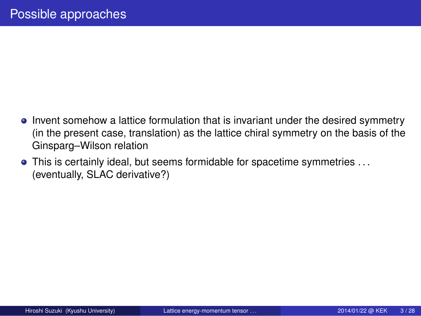- Invent somehow a lattice formulation that is invariant under the desired symmetry (in the present case, translation) as the lattice chiral symmetry on the basis of the Ginsparg–Wilson relation
- This is certainly ideal, but seems formidable for spacetime symmetries . . . (eventually, SLAC derivative?)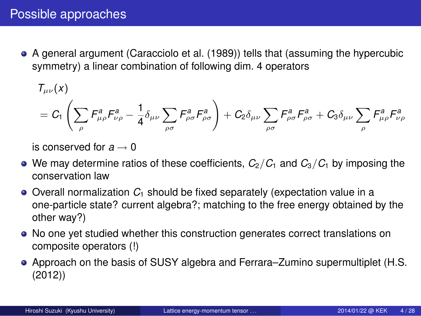#### Possible approaches

A general argument (Caracciolo et al. (1989)) tells that (assuming the hypercubic symmetry) a linear combination of following dim. 4 operators

 $T_{\mu\nu}(x)$ 

$$
= C_1\left(\sum_{\rho} F_{\mu\rho}^a F_{\nu\rho}^a - \frac{1}{4}\delta_{\mu\nu}\sum_{\rho\sigma} F_{\rho\sigma}^a F_{\rho\sigma}^a\right) + C_2\delta_{\mu\nu}\sum_{\rho\sigma} F_{\rho\sigma}^a F_{\rho\sigma}^a + C_3\delta_{\mu\nu}\sum_{\rho} F_{\mu\rho}^a F_{\nu\rho}^a
$$

is conserved for *a →* 0

- $\bullet$  We may determine ratios of these coefficients,  $C_2/C_1$  and  $C_3/C_1$  by imposing the conservation law
- Overall normalization *C*<sup>1</sup> should be fixed separately (expectation value in a one-particle state? current algebra?; matching to the free energy obtained by the other way?)
- No one yet studied whether this construction generates correct translations on composite operators (!)
- Approach on the basis of SUSY algebra and Ferrara–Zumino supermultiplet (H.S. (2012))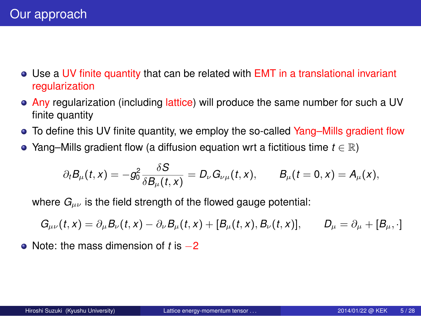#### Our approach

- Use a UV finite quantity that can be related with EMT in a translational invariant regularization
- **Any regularization (including lattice) will produce the same number for such a UV** finite quantity
- To define this UV finite quantity, we employ the so-called Yang–Mills gradient flow
- Yang–Mills gradient flow (a diffusion equation wrt a fictitious time *t ∈* R)

$$
\partial_t B_\mu(t,x) = -g_0^2 \frac{\delta S}{\delta B_\mu(t,x)} = D_\nu G_{\nu\mu}(t,x), \qquad B_\mu(t=0,x) = A_\mu(x),
$$

where  $G_{\mu\nu}$  is the field strength of the flowed gauge potential:

 $G_{\mu\nu}(t,x) = \partial_\mu B_\nu(t,x) - \partial_\nu B_\mu(t,x) + [B_\mu(t,x),B_\nu(t,x)], \qquad D_\mu = \partial_\mu + [B_\mu,\cdot]$ 

Note: the mass dimension of *t* is *−*2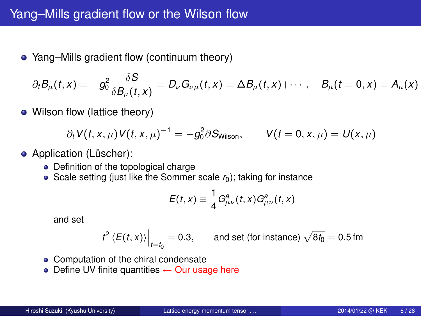# Yang–Mills gradient flow or the Wilson flow

Yang–Mills gradient flow (continuum theory)

$$
\partial_t B_\mu(t,x) = -g_0^2 \frac{\delta S}{\delta B_\mu(t,x)} = D_\nu G_{\nu\mu}(t,x) = \Delta B_\mu(t,x) + \cdots, \quad B_\mu(t=0,x) = A_\mu(x)
$$

• Wilson flow (lattice theory)

$$
\partial_t V(t, x, \mu) V(t, x, \mu)^{-1} = -g_0^2 \partial S_{\text{Wilson}}, \qquad V(t = 0, x, \mu) = U(x, \mu)
$$

- **•** Application (Lüscher):
	- Definition of the topological charge
	- Scale setting (just like the Sommer scale  $r_0$ ); taking for instance

$$
E(t,x) \equiv \frac{1}{4}G_{\mu\nu}^a(t,x)G_{\mu\nu}^a(t,x)
$$

and set

$$
t^2 \langle E(t, x) \rangle \Big|_{t=t_0} = 0.3
$$
, and set (for instance)  $\sqrt{8t_0} = 0.5$  fm

- Computation of the chiral condensate
- Define UV finite quantities *←* Our usage here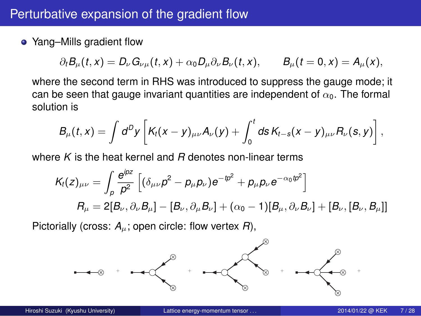## Perturbative expansion of the gradient flow

Yang–Mills gradient flow

$$
\partial_t B_\mu(t,x) = D_\nu G_{\nu\mu}(t,x) + \alpha_0 D_\mu \partial_\nu B_\nu(t,x), \qquad B_\mu(t=0,x) = A_\mu(x),
$$

where the second term in RHS was introduced to suppress the gauge mode; it can be seen that gauge invariant quantities are independent of *α*0. The formal solution is

$$
B_\mu(t,x)=\int d^Dy\left[K_t(x-y)_{\mu\nu}A_\nu(y)+\int_0^t ds\,K_{t-s}(x-y)_{\mu\nu}R_\nu(s,y)\right],
$$

where *K* is the heat kernel and *R* denotes non-linear terms

$$
K_t(z)_{\mu\nu} = \int_{\rho} \frac{e^{ipz}}{\rho^2} \left[ (\delta_{\mu\nu}\rho^2 - p_{\mu}\rho_{\nu})e^{-ip^2} + p_{\mu}\rho_{\nu}e^{-\alpha_0ip^2} \right]
$$
  
\n
$$
R_{\mu} = 2[B_{\nu}, \partial_{\nu}B_{\mu}] - [B_{\nu}, \partial_{\mu}B_{\nu}] + (\alpha_0 - 1)[B_{\mu}, \partial_{\nu}B_{\nu}] + [B_{\nu}, [B_{\nu}, B_{\mu}]]
$$

Pictorially (cross: *Aµ*; open circle: flow vertex *R*),



Hiroshi University) Lattice energy-momentum tensor . . . . . . . . . . . . . . 2014/01/22 @ KEK 7/28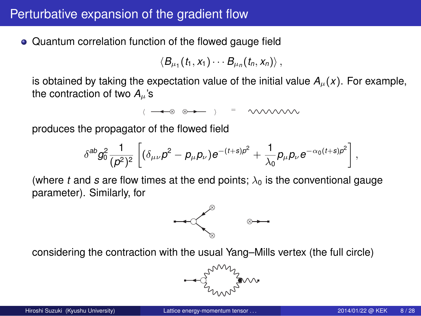## Perturbative expansion of the gradient flow

Quantum correlation function of the flowed gauge field

$$
\langle B_{\mu_1}(t_1,x_1)\cdots B_{\mu_n}(t_n,x_n)\rangle\,,
$$

is obtained by taking the expectation value of the initial value  $A_\mu(x)$ . For example, the contraction of two  $A_\mu$ 's

 $($   $\rightarrow \otimes \otimes \rightarrow \qquad )$  = wwww

produces the propagator of the flowed field

$$
\delta^{ab}g_0^2\frac{1}{(\rho^2)^2}\left[(\delta_{\mu\nu}\rho^2-\rho_\mu\rho_\nu)e^{-(t+s)\rho^2}+\frac{1}{\lambda_0}\rho_\mu\rho_\nu e^{-\alpha_0(t+s)\rho^2}\right]
$$

(where  $t$  and  $s$  are flow times at the end points;  $\lambda_0$  is the conventional gauge parameter). Similarly, for



considering the contraction with the usual Yang–Mills vertex (the full circle)



*,*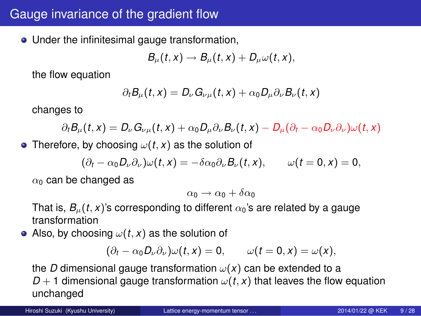## Gauge invariance of the gradient flow

Under the infinitesimal gauge transformation,

$$
B_{\mu}(t,x) \to B_{\mu}(t,x) + D_{\mu}\omega(t,x),
$$

the flow equation

$$
\partial_t B_\mu(t,x) = D_\nu G_{\nu\mu}(t,x) + \alpha_0 D_\mu \partial_\nu B_\nu(t,x)
$$

changes to

$$
\partial_t B_\mu(t,x) = D_\nu G_{\nu\mu}(t,x) + \alpha_0 D_\mu \partial_\nu B_\nu(t,x) - D_\mu (\partial_t - \alpha_0 D_\nu \partial_\nu) \omega(t,x)
$$

• Therefore, by choosing  $\omega(t, x)$  as the solution of

$$
(\partial_t - \alpha_0 D_\nu \partial_\nu) \omega(t, x) = -\delta \alpha_0 \partial_\nu B_\nu(t, x), \qquad \omega(t = 0, x) = 0,
$$

*α*<sup>0</sup> can be changed as

$$
\alpha_0 \to \alpha_0 + \delta \alpha_0
$$

That is,  $B_\mu(t, x)$ 's corresponding to different  $\alpha_0$ 's are related by a gauge transformation

• Also, by choosing  $\omega(t, x)$  as the solution of

$$
(\partial_t - \alpha_0 D_\nu \partial_\nu) \omega(t, x) = 0, \qquad \omega(t = 0, x) = \omega(x),
$$

the *D* dimensional gauge transformation  $\omega(x)$  can be extended to a *D* + 1 dimensional gauge transformation  $\omega(t, x)$  that leaves the flow equation unchanged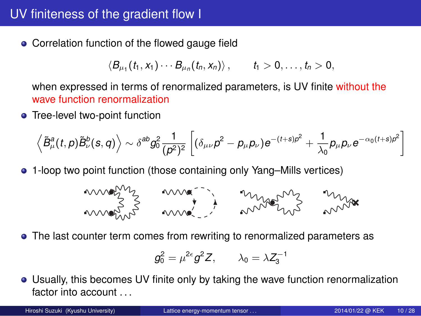## UV finiteness of the gradient flow I

Correlation function of the flowed gauge field

$$
\langle B_{\mu_1}(t_1,x_1)\cdots B_{\mu_n}(t_n,x_n)\rangle\,,\qquad t_1>0,\ldots,t_n>0,
$$

when expressed in terms of renormalized parameters, is UV finite without the wave function renormalization

**•** Tree-level two-point function

 $\langle$ 

$$
\left\langle \tilde{B}_{\mu}^{a}(t, p) \tilde{B}_{\nu}^{b}(s, q) \right\rangle \sim \delta^{ab} g_{0}^{2} \frac{1}{(\rho^{2})^{2}} \left[ \left( \delta_{\mu\nu} p^{2} - p_{\mu} p_{\nu} \right) e^{-(t+s) \rho^{2}} + \frac{1}{\lambda_{0}} p_{\mu} p_{\nu} e^{-\alpha_{0} (t+s) \rho^{2}} \right]
$$

1-loop two point function (those containing only Yang–Mills vertices)

$$
m_{\text{max}} = \frac{1}{\sqrt{2}} \cdot \frac{1}{\sqrt{2}} \cdot \frac{1}{\sqrt{2}} \cdot \frac{1}{\sqrt{2}} \cdot \frac{1}{\sqrt{2}} \cdot \frac{1}{\sqrt{2}} \cdot \frac{1}{\sqrt{2}} \cdot \frac{1}{\sqrt{2}} \cdot \frac{1}{\sqrt{2}} \cdot \frac{1}{\sqrt{2}} \cdot \frac{1}{\sqrt{2}} \cdot \frac{1}{\sqrt{2}} \cdot \frac{1}{\sqrt{2}} \cdot \frac{1}{\sqrt{2}} \cdot \frac{1}{\sqrt{2}} \cdot \frac{1}{\sqrt{2}} \cdot \frac{1}{\sqrt{2}} \cdot \frac{1}{\sqrt{2}} \cdot \frac{1}{\sqrt{2}} \cdot \frac{1}{\sqrt{2}} \cdot \frac{1}{\sqrt{2}} \cdot \frac{1}{\sqrt{2}} \cdot \frac{1}{\sqrt{2}} \cdot \frac{1}{\sqrt{2}} \cdot \frac{1}{\sqrt{2}} \cdot \frac{1}{\sqrt{2}} \cdot \frac{1}{\sqrt{2}} \cdot \frac{1}{\sqrt{2}} \cdot \frac{1}{\sqrt{2}} \cdot \frac{1}{\sqrt{2}} \cdot \frac{1}{\sqrt{2}} \cdot \frac{1}{\sqrt{2}} \cdot \frac{1}{\sqrt{2}} \cdot \frac{1}{\sqrt{2}} \cdot \frac{1}{\sqrt{2}} \cdot \frac{1}{\sqrt{2}} \cdot \frac{1}{\sqrt{2}} \cdot \frac{1}{\sqrt{2}} \cdot \frac{1}{\sqrt{2}} \cdot \frac{1}{\sqrt{2}} \cdot \frac{1}{\sqrt{2}} \cdot \frac{1}{\sqrt{2}} \cdot \frac{1}{\sqrt{2}} \cdot \frac{1}{\sqrt{2}} \cdot \frac{1}{\sqrt{2}} \cdot \frac{1}{\sqrt{2}} \cdot \frac{1}{\sqrt{2}} \cdot \frac{1}{\sqrt{2}} \cdot \frac{1}{\sqrt{2}} \cdot \frac{1}{\sqrt{2}} \cdot \frac{1}{\sqrt{2}} \cdot \frac{1}{\sqrt{2}} \cdot \frac{1}{\sqrt{2}} \cdot \frac{1}{\sqrt{2}} \cdot \frac{1}{\sqrt{2}} \cdot \frac{1}{\sqrt{2}} \cdot \frac{1}{\sqrt{2}} \cdot \frac{1}{\sqrt{2}} \cdot \frac{1}{\sqrt{2}} \cdot \frac{1}{\sqrt{2}} \cdot \frac{1}{\sqrt{2}} \cdot \frac{1}{\sqrt{2}} \cdot \frac{1}{\sqrt
$$

The last counter term comes from rewriting to renormalized parameters as

$$
g_0^2=\mu^{2\varepsilon}g^2Z,\qquad \lambda_0=\lambda Z_3^{-1}
$$

Usually, this becomes UV finite only by taking the wave function renormalization factor into account ...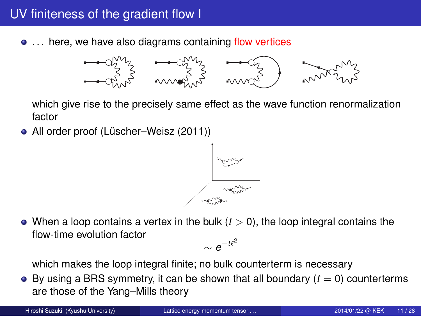## UV finiteness of the gradient flow I

 $\bullet$  ... here, we have also diagrams containing flow vertices



which give rise to the precisely same effect as the wave function renormalization factor

All order proof (Lüscher–Weisz (2011))



 $\bullet$  When a loop contains a vertex in the bulk ( $t > 0$ ), the loop integral contains the flow-time evolution factor *∼ e −t`* 2

which makes the loop integral finite; no bulk counterterm is necessary

 $\bullet$  By using a BRS symmetry, it can be shown that all boundary ( $t = 0$ ) counterterms are those of the Yang–Mills theory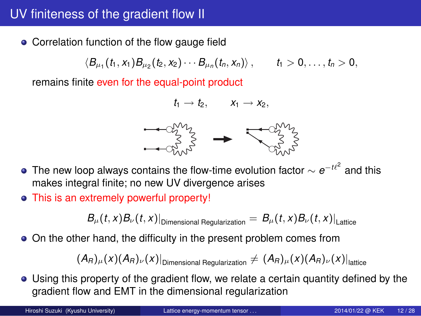# UV finiteness of the gradient flow II

**• Correlation function of the flow gauge field** 

$$
\langle B_{\mu_1}(t_1,x_1)B_{\mu_2}(t_2,x_2)\cdots B_{\mu_n}(t_n,x_n)\rangle\,,\qquad t_1>0,\ldots,t_n>0,
$$

remains finite even for the equal-point product

$$
t_1 \to t_2, \qquad x_1 \to x_2,
$$

$$
\begin{array}{ccc}\n & \rightarrow & \text{Cov}_{\text{V}}^{\text{V}} \\
& \rightarrow & \text{Cov}_{\text{V}}^{\text{V}} \\
& \rightarrow & \text{Cov}_{\text{V}}^{\text{V}} \\
& \rightarrow & \text{Cov}_{\text{V}}^{\text{V}} \\
& \rightarrow & \text{Cov}_{\text{V}}^{\text{V}} \\
& \rightarrow & \text{Cov}_{\text{V}}^{\text{V}} \\
& \rightarrow & \text{Cov}_{\text{V}}^{\text{V}} \\
& \rightarrow & \text{Cov}_{\text{V}}^{\text{V}} \\
& \rightarrow & \text{Cov}_{\text{V}}^{\text{V}} \\
& \rightarrow & \text{Cov}_{\text{V}}^{\text{V}} \\
& \rightarrow & \text{Cov}_{\text{V}}^{\text{V}} \\
& \rightarrow & \text{Cov}_{\text{V}}^{\text{V}} \\
& \rightarrow & \text{Cov}_{\text{V}}^{\text{V}} \\
& \rightarrow & \text{Cov}_{\text{V}}^{\text{V}} \\
& \rightarrow & \text{Cov}_{\text{V}}^{\text{V}} \\
& \rightarrow & \text{Cov}_{\text{V}}^{\text{V}} \\
& \rightarrow & \text{Cov}_{\text{V}}^{\text{V}} \\
& \rightarrow & \text{Cov}_{\text{V}}^{\text{V}} \\
& \rightarrow & \text{Cov}_{\text{V}}^{\text{V}} \\
& \rightarrow & \text{Cov}_{\text{V}}^{\text{V}} \\
& \rightarrow & \text{Cov}_{\text{V}}^{\text{V}} \\
& \rightarrow & \text{Cov}_{\text{V}}^{\text{V}} \\
& \rightarrow & \text{Cov}_{\text{V}}^{\text{V}} \\
& \rightarrow & \text{Cov}_{\text{V}}^{\text{V}} \\
& \rightarrow & \text{Cov}_{\text{V}}^{\text{V}} \\
& \rightarrow & \text{Cov}_{\text{V}}^{\text{V}} \\
& \rightarrow & \text{Cov}_{\text{V}}^{\text{V}} \\
& \rightarrow & \text{Cov}_{\text{V}}^{\text{V}} \\
& \rightarrow & \text{Cov}_{\text{V}}^{\text{V}} \\
& \rightarrow & \text{Cov}_{\text{V}}^{\text{V}} \\
& \rightarrow & \text{Cov}_{\text{V}}^{\text{V}} \\
& \rightarrow & \text{Cov}_{\text{V}}^{\text{V}} \\
& \rightarrow & \text{Cov}_{\text{V}}^{\text{V}} \\
& \rightarrow & \text{Cov}_{\text{V}}^{\text{V}} \\
& \rightarrow &
$$

- The new loop always contains the flow-time evolution factor *∼ e −t`* 2 and this makes integral finite; no new UV divergence arises
- This is an extremely powerful property!

 $B_{\mu}(t,x)B_{\nu}(t,x)|_{\textrm{Dimensional Regulation}} = \left. B_{\mu}(t,x)B_{\nu}(t,x)\right|_{\textrm{Lattice}}$ 

On the other hand, the difficulty in the present problem comes from

$$
(A_{R})_{\mu}(x)(A_{R})_{\nu}(x)|_{\text{Dimensional Regulation}} \neq (A_{R})_{\mu}(x)(A_{R})_{\nu}(x)|_{\text{lattice}}
$$

Using this property of the gradient flow, we relate a certain quantity defined by the gradient flow and EMT in the dimensional regularization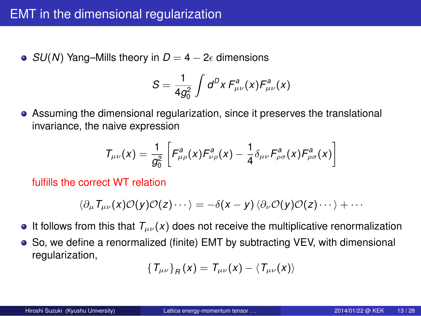## EMT in the dimensional regularization

**•** *SU*(*N*) Yang–Mills theory in *D* = 4 – 2 $\epsilon$  dimensions

$$
S=\frac{1}{4g_0^2}\int d^Dx F^a_{\mu\nu}(x)F^a_{\mu\nu}(x)
$$

Assuming the dimensional regularization, since it preserves the translational invariance, the naive expression

$$
T_{\mu\nu}(x)=\frac{1}{g_0^2}\left[F_{\mu\rho}^a(x)F_{\nu\rho}^a(x)-\frac{1}{4}\delta_{\mu\nu}F_{\rho\sigma}^a(x)F_{\rho\sigma}^a(x)\right]
$$

fulfills the correct WT relation

$$
\langle \partial_{\mu} T_{\mu\nu}(x) \mathcal{O}(y) \mathcal{O}(z) \cdots \rangle = -\delta(x-y) \langle \partial_{\nu} \mathcal{O}(y) \mathcal{O}(z) \cdots \rangle + \cdots
$$

- It follows from this that  $T_{\mu\nu}(x)$  does not receive the multiplicative renormalization
- So, we define a renormalized (finite) EMT by subtracting VEV, with dimensional regularization,

$$
\left\{T_{\mu\nu}\right\}_{R}(x)=T_{\mu\nu}(x)-\left\langle T_{\mu\nu}(x)\right\rangle
$$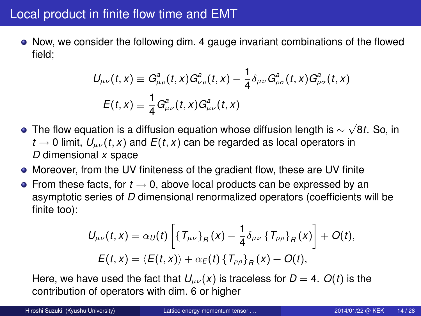#### Local product in finite flow time and EMT

Now, we consider the following dim. 4 gauge invariant combinations of the flowed field;

$$
\begin{aligned} U_{\mu\nu}(t,x) &\equiv G_{\mu\rho}^a(t,x)G_{\nu\rho}^a(t,x) - \frac{1}{4}\delta_{\mu\nu}G_{\rho\sigma}^a(t,x)G_{\rho\sigma}^a(t,x) \\ E(t,x) &\equiv \frac{1}{4}G_{\mu\nu}^a(t,x)G_{\mu\nu}^a(t,x) \end{aligned}
$$

- The flow equation is a diffusion equation whose diffusion length is *∼ √* 8*t*. So, in *t*  $\rightarrow$  0 limit,  $U_{\mu\nu}(t, x)$  and  $E(t, x)$  can be regarded as local operators in *D* dimensional *x* space
- Moreover, from the UV finiteness of the gradient flow, these are UV finite
- From these facts, for *t →* 0, above local products can be expressed by an asymptotic series of *D* dimensional renormalized operators (coefficients will be finite too):

$$
U_{\mu\nu}(t,x) = \alpha_U(t) \left[ \{ T_{\mu\nu} \}_R(x) - \frac{1}{4} \delta_{\mu\nu} \{ T_{\rho\rho} \}_R(x) \right] + O(t),
$$
  

$$
E(t,x) = \langle E(t,x) \rangle + \alpha_E(t) \{ T_{\rho\rho} \}_R(x) + O(t),
$$

Here, we have used the fact that  $U_{\mu\nu}(x)$  is traceless for  $D = 4$ .  $O(t)$  is the contribution of operators with dim. 6 or higher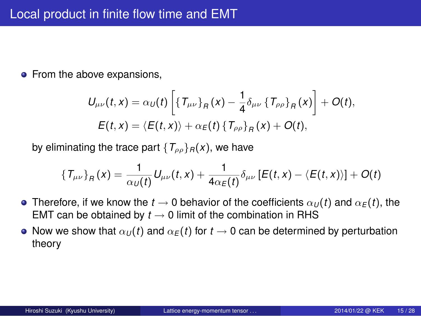# Local product in finite flow time and EMT

• From the above expansions,

$$
U_{\mu\nu}(t,x) = \alpha_U(t) \left[ \{ T_{\mu\nu} \}_R(x) - \frac{1}{4} \delta_{\mu\nu} \{ T_{\rho\rho} \}_R(x) \right] + O(t),
$$
  

$$
E(t,x) = \langle E(t,x) \rangle + \alpha_E(t) \{ T_{\rho\rho} \}_R(x) + O(t),
$$

by eliminating the trace part  $\{T_{\rho\rho}\}_R(x)$ , we have

$$
\left\{T_{\mu\nu}\right\}_R(x) = \frac{1}{\alpha_U(t)}U_{\mu\nu}(t,x) + \frac{1}{4\alpha_E(t)}\delta_{\mu\nu}\left[E(t,x) - \langle E(t,x) \rangle\right] + O(t)
$$

- Therefore, if we know the  $t\to 0$  behavior of the coefficients  $\alpha_U(t)$  and  $\alpha_E(t)$ , the EMT can be obtained by  $t \to 0$  limit of the combination in RHS
- Now we show that  $\alpha_U(t)$  and  $\alpha_E(t)$  for  $t \to 0$  can be determined by perturbation theory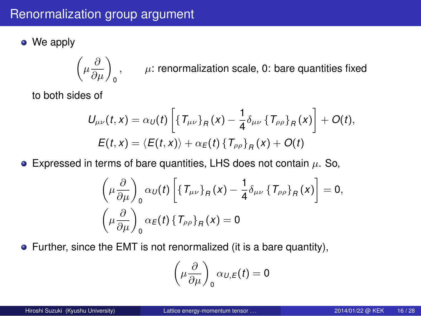# Renormalization group argument

• We apply

$$
\left(\mu \frac{\partial}{\partial \mu}\right)_0, \qquad \mu: \text{ renormalization scale, 0: bare quantities fixed}
$$

to both sides of

$$
U_{\mu\nu}(t,x) = \alpha_U(t) \left[ \{ T_{\mu\nu} \}_R(x) - \frac{1}{4} \delta_{\mu\nu} \{ T_{\rho\rho} \}_R(x) \right] + O(t),
$$
  

$$
E(t,x) = \langle E(t,x) \rangle + \alpha_E(t) \{ T_{\rho\rho} \}_R(x) + O(t)
$$

Expressed in terms of bare quantities, LHS does not contain *µ*. So,

$$
\left(\mu \frac{\partial}{\partial \mu}\right)_0 \alpha_U(t) \left[ \{T_{\mu\nu}\}_R(x) - \frac{1}{4} \delta_{\mu\nu} \{T_{\rho\rho}\}_R(x) \right] = 0,
$$
  

$$
\left(\mu \frac{\partial}{\partial \mu}\right)_0 \alpha_E(t) \{T_{\rho\rho}\}_R(x) = 0
$$

Further, since the EMT is not renormalized (it is a bare quantity),

$$
\left(\mu\frac{\partial}{\partial\mu}\right)_0 \alpha_{U,E}(t) = 0
$$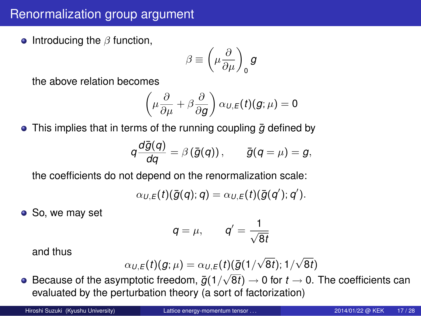## Renormalization group argument

**•** Introducing the  $β$  function,

$$
\beta \equiv \left(\mu\frac{\partial}{\partial\mu}\right)_0{\bf g}
$$

the above relation becomes

$$
\left(\mu\frac{\partial}{\partial\mu}+\beta\frac{\partial}{\partial g}\right)\alpha_{U,E}(t)(g;\mu)=0
$$

● This implies that in terms of the running coupling  $\bar{g}$  defined by

$$
q\frac{d\bar{g}(q)}{dq}=\beta\left(\bar{g}(q)\right),\qquad \bar{g}(q=\mu)=g,
$$

the coefficients do not depend on the renormalization scale:

$$
\alpha_{U,E}(t)(\bar{g}(q);q)=\alpha_{U,E}(t)(\bar{g}(q');q').
$$

• So, we may set

$$
q=\mu,\qquad q'=\frac{1}{\sqrt{8t}}
$$

and thus

$$
\alpha_{U,E}(t)(g;\mu) = \alpha_{U,E}(t)(\bar{g}(1/\sqrt{8t});1/\sqrt{8t})
$$

Because of the asymptotic freedom,  $\bar{g}(1/\sqrt{8t}) \to 0$  for  $t \to 0$ . The coefficients can evaluated by the perturbation theory (a sort of factorization)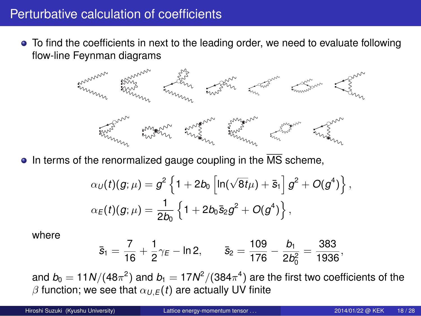#### Perturbative calculation of coefficients

To find the coefficients in next to the leading order, we need to evaluate following flow-line Feynman diagrams

 $\bullet$  In terms of the renormalized gauge coupling in the  $\overline{\text{MS}}$  scheme,

$$
\alpha_U(t)(g;\mu) = g^2 \left\{ 1 + 2b_0 \left[ \ln(\sqrt{8t}\mu) + \bar{s}_1 \right] g^2 + O(g^4) \right\},
$$
  

$$
\alpha_E(t)(g;\mu) = \frac{1}{2b_0} \left\{ 1 + 2b_0 \bar{s}_2 g^2 + O(g^4) \right\},
$$

where

$$
\bar{s}_1=\frac{7}{16}+\frac{1}{2}\gamma_E-\text{ln}\,2,\qquad \bar{s}_2=\frac{109}{176}-\frac{b_1}{2b_0^2}=\frac{383}{1936},
$$

and  $b_0 = 11N/(48\pi^2)$  and  $b_1 = 17N^2/(384\pi^4)$  are the first two coefficients of the  $\beta$  function; we see that  $\alpha_{U,E}(t)$  are actually UV finite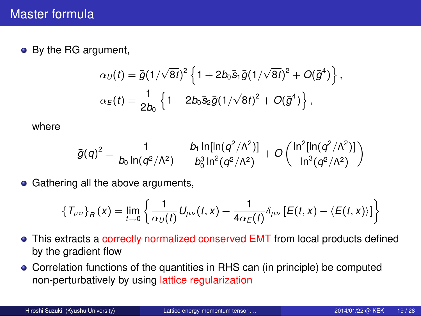## Master formula

• By the RG argument,

$$
\alpha_U(t) = \bar{g}(1/\sqrt{8t})^2 \left\{ 1 + 2b_0 \bar{s}_1 \bar{g}(1/\sqrt{8t})^2 + O(\bar{g}^4) \right\},\,
$$
  

$$
\alpha_E(t) = \frac{1}{2b_0} \left\{ 1 + 2b_0 \bar{s}_2 \bar{g}(1/\sqrt{8t})^2 + O(\bar{g}^4) \right\},\,
$$

where

$$
\bar{g}(q)^2 = \frac{1}{b_0 \ln(q^2/\Lambda^2)} - \frac{b_1 \ln[\ln(q^2/\Lambda^2)]}{b_0^3 \ln^2(q^2/\Lambda^2)} + O\left(\frac{\ln^2[\ln(q^2/\Lambda^2)]}{\ln^3(q^2/\Lambda^2)}\right)
$$

**•** Gathering all the above arguments,

$$
\left\{T_{\mu\nu}\right\}_R(x) = \lim_{t \to 0} \left\{\frac{1}{\alpha_U(t)}U_{\mu\nu}(t,x) + \frac{1}{4\alpha_E(t)}\delta_{\mu\nu}\left[E(t,x) - \langle E(t,x) \rangle\right]\right\}
$$

- This extracts a correctly normalized conserved EMT from local products defined by the gradient flow
- Correlation functions of the quantities in RHS can (in principle) be computed non-perturbatively by using lattice regularization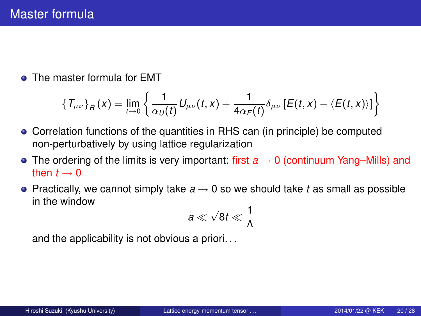#### Master formula

• The master formula for EMT

$$
\{T_{\mu\nu}\}_R(x) = \lim_{t\to 0}\left\{\frac{1}{\alpha_U(t)}U_{\mu\nu}(t,x) + \frac{1}{4\alpha_E(t)}\delta_{\mu\nu}\left[E(t,x) - \langle E(t,x)\rangle\right]\right\}
$$

- Correlation functions of the quantities in RHS can (in principle) be computed non-perturbatively by using lattice regularization
- The ordering of the limits is very important: first *a →* 0 (continuum Yang–Mills) and then  $t \rightarrow 0$
- Practically, we cannot simply take *a →* 0 so we should take *t* as small as possible in the window *√*  $\overline{1}$

$$
a\ll \sqrt{8t}\ll \frac{1}{\Lambda}
$$

and the applicability is not obvious a priori. . .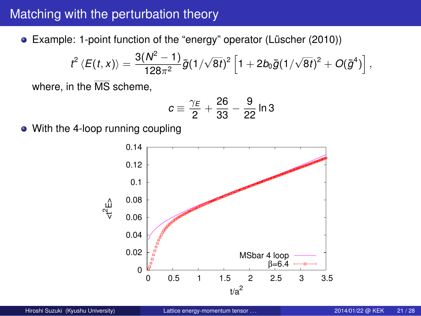## Matching with the perturbation theory

Example: 1-point function of the "energy" operator (Lüscher (2010))

$$
t^2\left\langle E(t,x)\right\rangle=\frac{3(N^2-1)}{128\pi^2}\bar g(1/\sqrt{8t})^2\left[1+2b_0\bar g(1/\sqrt{8t})^2+O(\bar g^4)\right],
$$

where, in the MS scheme,

$$
c\equiv \frac{\gamma_E}{2}+\frac{26}{33}-\frac{9}{22}\ln 3
$$

With the 4-loop running coupling

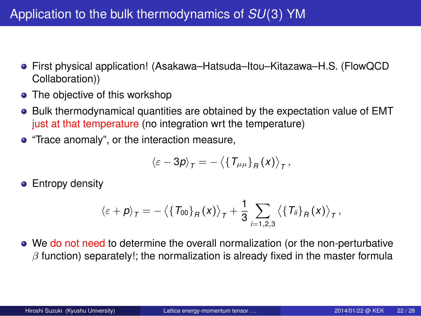- First physical application! (Asakawa–Hatsuda–Itou–Kitazawa–H.S. (FlowQCD Collaboration))
- The objective of this workshop
- Bulk thermodynamical quantities are obtained by the expectation value of EMT just at that temperature (no integration wrt the temperature)
- "Trace anomaly", or the interaction measure,

$$
\langle \varepsilon - 3p \rangle_T = - \left\langle \left\{ T_{\mu\mu} \right\}_R (x) \right\rangle_T,
$$

**•** Entropy density

$$
\langle \varepsilon + \rho \rangle_T = - \left\langle \{ \mathcal{T}_{00} \}_\mathit{F} \left( x \right) \right\rangle_T + \frac{1}{3} \sum_{i=1,2,3} \left\langle \{ \mathcal{T}_{ii} \}_\mathit{F} \left( x \right) \right\rangle_T,
$$

We do not need to determine the overall normalization (or the non-perturbative *β* function) separately!; the normalization is already fixed in the master formula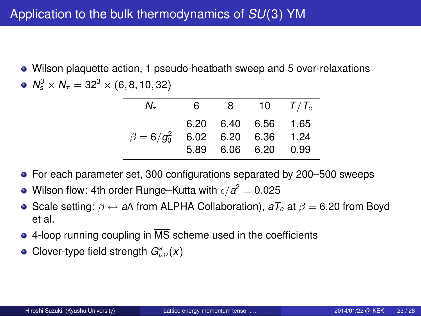- Wilson plaquette action, 1 pseudo-heatbath sweep and 5 over-relaxations
- $N_s^3 \times N_\tau = 32^3 \times (6, 8, 10, 32)$

| Ν.                | 6.   | 8. | 10                                                 | $T/T_c$      |
|-------------------|------|----|----------------------------------------------------|--------------|
| $\beta = 6/g_0^2$ | 5.89 |    | 6.20 6.40 6.56 1.65<br>6.02 6.20 6.36<br>6.06 6.20 | 1.24<br>0.99 |

- For each parameter set, 300 configurations separated by 200–500 sweeps
- Wilson flow: 4th order Runge–Kutta with  $\epsilon/a^2 = 0.025$
- Scale setting: *β ↔ a*Λ from ALPHA Collaboration), *aT<sup>c</sup>* at *β* = 6*.*20 from Boyd et al.
- $\bullet$  4-loop running coupling in  $\overline{\text{MS}}$  scheme used in the coefficients
- Clover-type field strength  $G_{\mu\nu}^a(x)$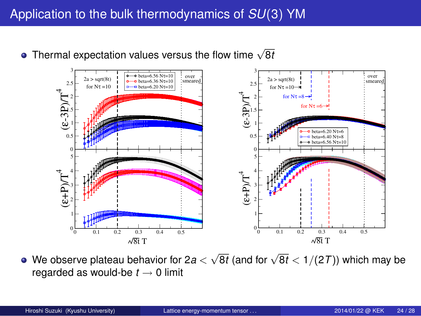Thermal expectation values versus the flow time *<sup>√</sup>* 8*t*



We observe plateau behavior for 2*a < √* <sup>8</sup>*<sup>t</sup>* (and for *<sup>√</sup>* 8*t <* 1*/*(2*T*)) which may be regarded as would-be *t →* 0 limit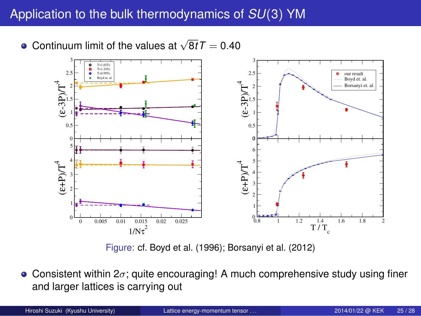

Figure: cf. Boyd et al. (1996); Borsanyi et al. (2012)

Consistent within 2*σ*; quite encouraging! A much comprehensive study using finer and larger lattices is carrying out

| Hiroshi Suzuki (Kyushu University) | Lattice energy-momentum tensor | 2014/01/22 @ KEK | 25/28 |
|------------------------------------|--------------------------------|------------------|-------|
|------------------------------------|--------------------------------|------------------|-------|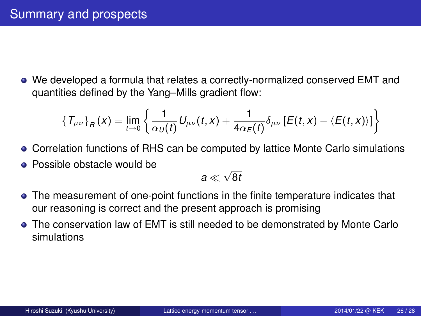## Summary and prospects

We developed a formula that relates a correctly-normalized conserved EMT and quantities defined by the Yang–Mills gradient flow:

$$
\left\{T_{\mu\nu}\right\}_R(x) = \lim_{t \to 0} \left\{\frac{1}{\alpha_U(t)}U_{\mu\nu}(t,x) + \frac{1}{4\alpha_E(t)}\delta_{\mu\nu}\left[E(t,x) - \langle E(t,x) \rangle\right]\right\}
$$

- Correlation functions of RHS can be computed by lattice Monte Carlo simulations
- Possible obstacle would be

*a √* 8*t*

- The measurement of one-point functions in the finite temperature indicates that our reasoning is correct and the present approach is promising
- The conservation law of EMT is still needed to be demonstrated by Monte Carlo simulations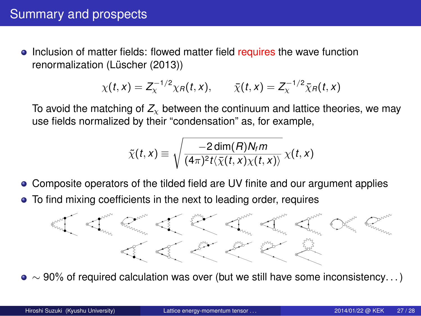## Summary and prospects

• Inclusion of matter fields: flowed matter field requires the wave function renormalization (Lüscher (2013))

$$
\chi(t,x) = Z_{\chi}^{-1/2} \chi_R(t,x), \qquad \bar{\chi}(t,x) = Z_{\chi}^{-1/2} \bar{\chi}_R(t,x)
$$

To avoid the matching of  $Z_{\chi}$  between the continuum and lattice theories, we may use fields normalized by their "condensation" as, for example,

$$
\tilde{\chi}(t,x) \equiv \sqrt{\frac{-2\dim(R)N_t m}{(4\pi)^2 t \langle \bar{\chi}(t,x) \chi(t,x) \rangle}} \chi(t,x)
$$

- Composite operators of the tilded field are UV finite and our argument applies
- To find mixing coefficients in the next to leading order, requires

*∼* 90% of required calculation was over (but we still have some inconsistency. . . )